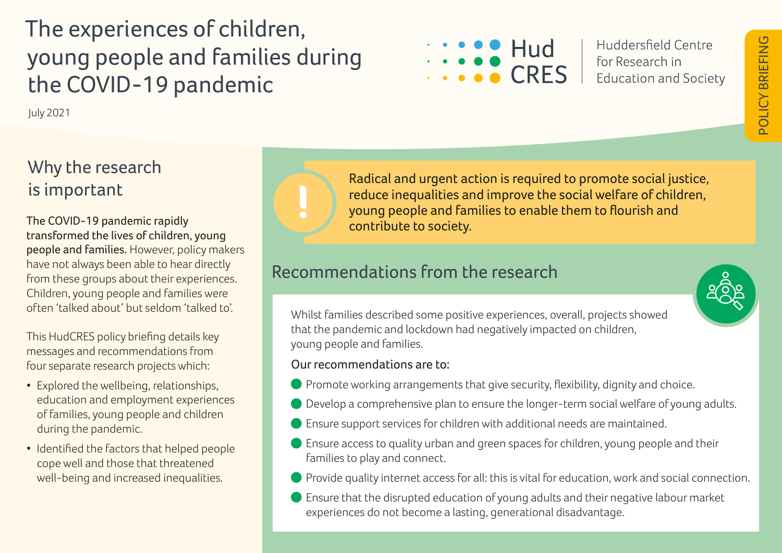# The experiences of children, young people and families during the COVID-19 pandemic

July 2021

## Why the research is important

The COVID-19 pandemic rapidly transformed the lives of children, young people and families. However, policy makers have not always been able to hear directly from these groups about their experiences. Children, young people and families were often 'talked about' but seldom 'talked to'.

This HudCRES policy briefing details key messages and recommendations from four separate research projects which:

- Explored the wellbeing, relationships, education and employment experiences of families, young people and children during the pandemic.
- Identified the factors that helped people cope well and those that threatened well-being and increased inequalities.



Radical and urgent action is required to promote social justice, reduce inequalities and improve the social welfare of children, young people and families to enable them to flourish and contribute to society.

### Recommendations from the research



Whilst families described some positive experiences, overall, projects showed that the pandemic and lockdown had negatively impacted on children, young people and families.

### Our recommendations are to:

- **Promote working arrangements that give security, flexibility, dignity and choice.**
- Develop a comprehensive plan to ensure the longer-term social welfare of young adults.
- Ensure support services for children with additional needs are maintained.
- Ensure access to quality urban and green spaces for children, young people and their families to play and connect.
- **Provide quality internet access for all: this is vital for education, work and social connection.**
- Ensure that the disrupted education of young adults and their negative labour market experiences do not become a lasting, generational disadvantage.



Huddersfield Centre for Research in **Education and Society**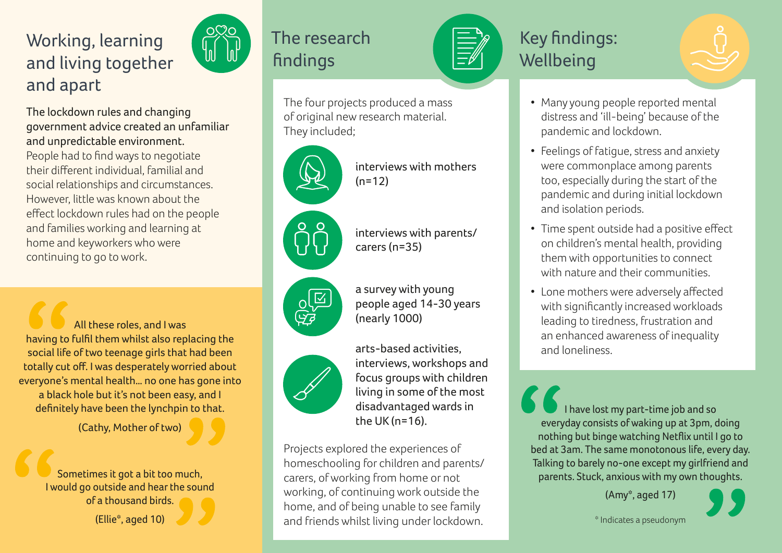## Working, learning and living together and apart

The lockdown rules and changing government advice created an unfamiliar and unpredictable environment. People had to find ways to negotiate their different individual, familial and social relationships and circumstances. However, little was known about the effect lockdown rules had on the people and families working and learning at home and keyworkers who were continuing to go to work.

All these roles, and I was having to fulfil them whilst also replacing the social life of two teenage girls that had been totally cut off. I was desperately worried about everyone's mental health… no one has gone into a black hole but it's not been easy, and I definitely have been the lynchpin to that.

(Cathy, Mother of two)

Sometimes it got a bit too much, I would go outside and hear the sound of a thousand birds.

(Ellie\*, aged 10)



## The research findings

The four projects produced a mass of original new research material. They included;

 $(n=12)$ 

carers (n=35)

(nearly 1000)









arts-based activities, interviews, workshops and focus groups with children living in some of the most disadvantaged wards in the UK (n=16).

interviews with mothers

interviews with parents/

people aged 14-30 years

a survey with young

Projects explored the experiences of homeschooling for children and parents/ carers, of working from home or not working, of continuing work outside the home, and of being unable to see family and friends whilst living under lockdown.

## Key findings: **Wellbeing**

- Many young people reported mental distress and 'ill-being' because of the pandemic and lockdown.
- Feelings of fatigue, stress and anxiety were commonplace among parents too, especially during the start of the pandemic and during initial lockdown and isolation periods.
- Time spent outside had a positive effect on children's mental health, providing them with opportunities to connect with nature and their communities.
- Lone mothers were adversely affected with significantly increased workloads leading to tiredness, frustration and an enhanced awareness of inequality and loneliness.

I have lost my part-time job and so everyday consists of waking up at 3pm, doing nothing but binge watching Netflix until I go to bed at 3am. The same monotonous life, every day. Talking to barely no-one except my girlfriend and parents. Stuck, anxious with my own thoughts.

(Amy\*, aged 17)

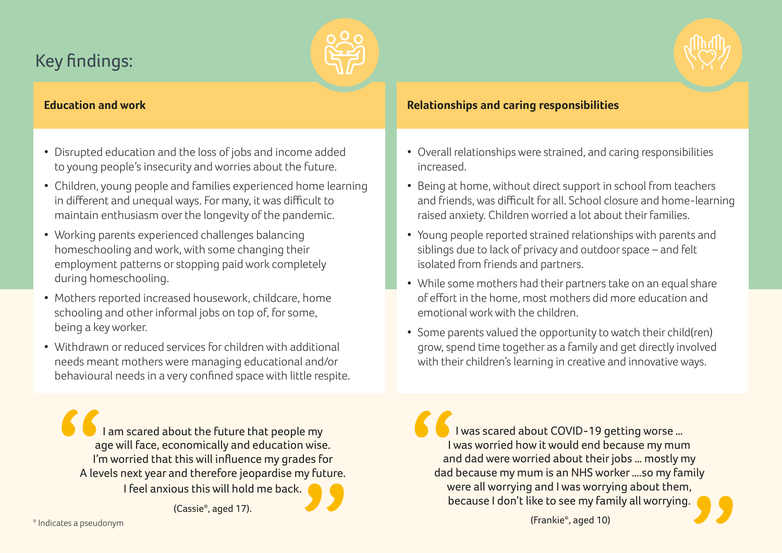## Key findings:





- Disrupted education and the loss of jobs and income added to young people's insecurity and worries about the future.
- Children, young people and families experienced home learning in different and unequal ways. For many, it was difficult to maintain enthusiasm over the longevity of the pandemic.
- Working parents experienced challenges balancing homeschooling and work, with some changing their employment patterns or stopping paid work completely during homeschooling.
- Mothers reported increased housework, childcare, home schooling and other informal jobs on top of, for some, being a key worker.
- Withdrawn or reduced services for children with additional needs meant mothers were managing educational and/or behavioural needs in a very confined space with little respite.

I am scared about the future that people my age will face, economically and education wise. I'm worried that this will influence my grades for A levels next year and therefore jeopardise my future. I feel anxious this will hold me back.

(Cassie\*, aged 17).

• Overall relationships were strained, and caring responsibilities increased.

**Relationships and caring responsibilities**

- Being at home, without direct support in school from teachers and friends, was difficult for all. School closure and home-learning raised anxiety. Children worried a lot about their families.
- Young people reported strained relationships with parents and siblings due to lack of privacy and outdoor space – and felt isolated from friends and partners.
- While some mothers had their partners take on an equal share of effort in the home, most mothers did more education and emotional work with the children.
- Some parents valued the opportunity to watch their child(ren) grow, spend time together as a family and get directly involved with their children's learning in creative and innovative ways.

I was scared about COVID-19 getting worse … I was worried how it would end because my mum and dad were worried about their jobs … mostly my dad because my mum is an NHS worker ….so my family were all worrying and I was worrying about them, because I don't like to see my family all worrying.